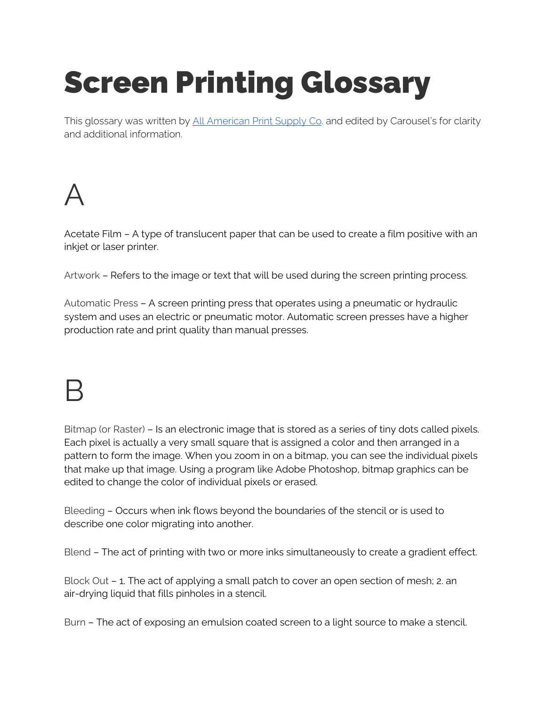# Screen Printing Glossary

This glossary was written by All [American](https://screenprintsupply.com/screen-printing-glossary-know-the-lingo/) Print Supply Co. and edited by Carousel's for clarity and additional information.

A

Acetate Film – A type of translucent paper that can be used to create a film positive with an inkjet or laser printer.

Artwork – Refers to the image or text that will be used during the screen printing process.

[Automatic](https://screenprintsupply.com/product-category/textile-printing/screen-printing/screen-printing-equipment/automatic-screen-printers/) Press – A screen printing press that operates using a pneumatic or hydraulic system and uses an electric or pneumatic motor. Automatic screen presses have a higher production rate and print quality than manual presses.

## B

Bitmap (or Raster) – Is an electronic image that is stored as a series of tiny dots called pixels. Each pixel is actually a very small square that is assigned a color and then arranged in a pattern to form the image. When you zoom in on a bitmap, you can see the individual pixels that make up that image. Using a program like Adobe Photoshop, bitmap graphics can be edited to change the color of individual pixels or erased.

Bleeding – Occurs when ink flows beyond the boundaries of the stencil or is used to describe one color migrating into another.

Blend – The act of printing with two or more inks simultaneously to create a gradient effect.

[Block](https://screenprintsupply.com/shop/kiwo-blockout/) Out – 1. The act of applying a small patch to cover an open section of mesh; 2. an air-drying liquid that fills pinholes in a stencil.

Burn – The act of exposing an emulsion coated screen to a light source to make a stencil.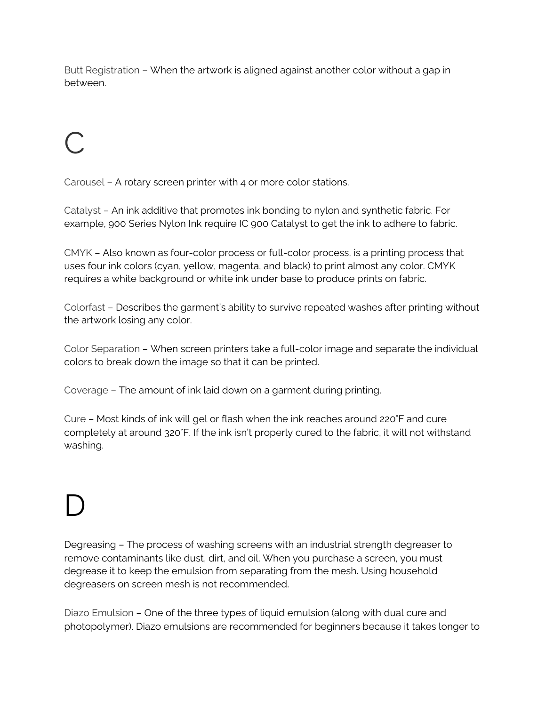Butt Registration – When the artwork is aligned against another color without a gap in between.

## C

Carousel – A rotary screen printer with 4 or more color stations.

[Catalyst](https://screenprintsupply.com/shop/ic-900-catalyst/) – An ink additive that promotes ink bonding to nylon and synthetic fabric. For example, 900 Series Nylon Ink require IC 900 Catalyst to get the ink to adhere to fabric.

CMYK – Also known as four-color process or full-color process, is a printing process that uses four ink colors (cyan, yellow, magenta, and black) to print almost any color. CMYK requires a white background or white ink under base to produce prints on fabric.

Colorfast – Describes the garment's ability to survive repeated washes after printing without the artwork losing any color.

Color Separation – When screen printers take a full-color image and separate the individual colors to break down the image so that it can be printed.

Coverage – The amount of ink laid down on a garment during printing.

Cure – Most kinds of ink will gel or flash when the ink reaches around 220°F and cure completely at around 320°F. If the ink isn't properly cured to the fabric, it will not withstand washing.

## D

[Degreasing](https://screenprintsupply.com/product-category/textile-printing/screen-printing/screen-printing-supplies/screen-solutions/) – The process of washing screens with an industrial strength degreaser to remove contaminants like dust, dirt, and oil. When you purchase a screen, you must degrease it to keep the emulsion from separating from the mesh. Using household degreasers on screen mesh is not recommended.

Diazo [Emulsion](https://screenprintsupply.com/product-category/textile-printing/screen-printing/screen-printing-supplies/screen-solutions/) – One of the three types of liquid emulsion (along with dual cure and photopolymer). Diazo emulsions are recommended for beginners because it takes longer to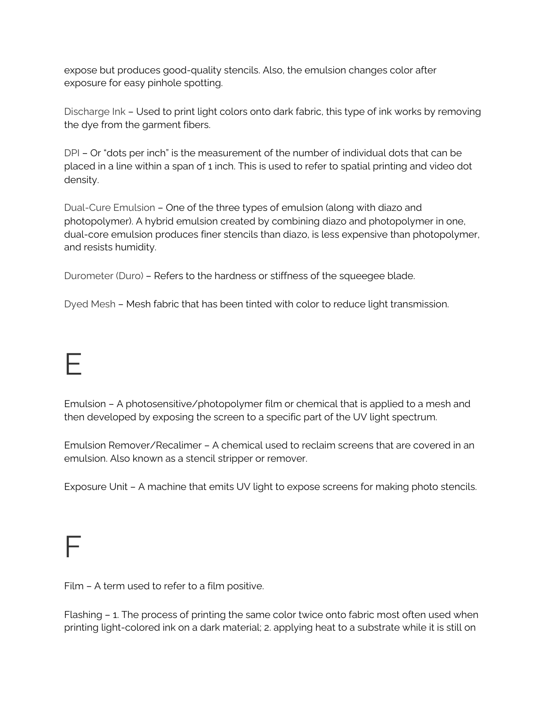expose but produces good-quality stencils. Also, the emulsion changes color after exposure for easy pinhole spotting.

Discharge Ink – Used to print light colors onto dark fabric, this type of ink works by removing the dye from the garment fibers.

DPI – Or "dots per inch" is the measurement of the number of individual dots that can be placed in a line within a span of 1 inch. This is used to refer to spatial printing and video dot density.

Dual-Cure Emulsion – One of the three types of emulsion (along with diazo and photopolymer). A hybrid emulsion created by combining diazo and photopolymer in one, dual-core emulsion produces finer stencils than diazo, is less expensive than photopolymer, and resists humidity.

Durometer (Duro) – Refers to the hardness or stiffness of the squeegee blade.

Dyed Mesh – Mesh fabric that has been tinted with color to reduce light transmission.

#### E

[Emulsion](https://screenprintsupply.com/product-category/textile-printing/screen-printing/screen-printing-supplies/screen-solutions/) – A photosensitive/photopolymer film or chemical that is applied to a mesh and then developed by exposing the screen to a specific part of the UV light spectrum.

[Emulsion](https://screenprintsupply.com/product-category/textile-printing/screen-printing/screen-printing-supplies/screen-solutions/) Remover/Recalimer – A chemical used to reclaim screens that are covered in an emulsion. Also known as a stencil stripper or remover.

[Exposure](https://screenprintsupply.com/product-category/pad-printing/dryers-uv-curing/exposure-units/) Unit – A machine that emits UV light to expose screens for making photo stencils.

#### F

[Film](https://screenprintsupply.com/product-category/screen-printing/screen-printing-supplies/screen-printing-films-screen-tint/) – A term used to refer to a film positive.

Flashing – 1. The process of printing the same color twice onto fabric most often used when printing light-colored ink on a dark material; 2. applying heat to a substrate while it is still on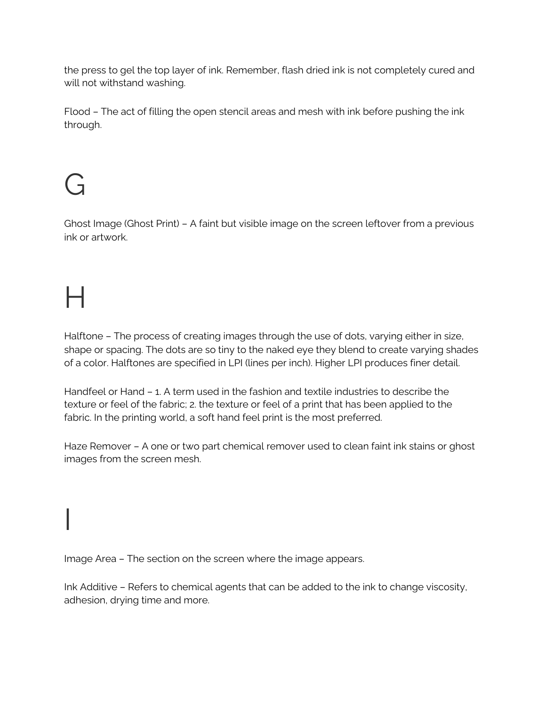the press to gel the top layer of ink. Remember, flash dried ink is not completely cured and will not withstand washing.

Flood – The act of filling the open stencil areas and mesh with ink before pushing the ink through.

## $\mathfrak{c}$

Ghost Image (Ghost Print) – A faint but visible image on the screen leftover from a previous ink or artwork.

## $\mathsf{H}% _{0}\!\left( \mathcal{M}_{0}\right) =\mathsf{H}_{0}\!\left( \mathcal{M}_{0}\right)$

I

Halftone – The process of creating images through the use of dots, varying either in size, shape or spacing. The dots are so tiny to the naked eye they blend to create varying shades of a color. Halftones are specified in LPI (lines per inch). Higher LPI produces finer detail.

Handfeel or Hand – 1. A term used in the fashion and textile industries to describe the texture or feel of the fabric; 2. the texture or feel of a print that has been applied to the fabric. In the printing world, a soft hand feel print is the most preferred.

Haze [Remover](https://screenprintsupply.com/product-category/textile-printing/screen-printing/screen-printing-supplies/screen-solutions/) – A one or two part chemical remover used to clean faint ink stains or ghost images from the screen mesh.

Image Area – The section on the screen where the image appears.

Ink Additive – Refers to chemical agents that can be added to the ink to change viscosity, adhesion, drying time and more.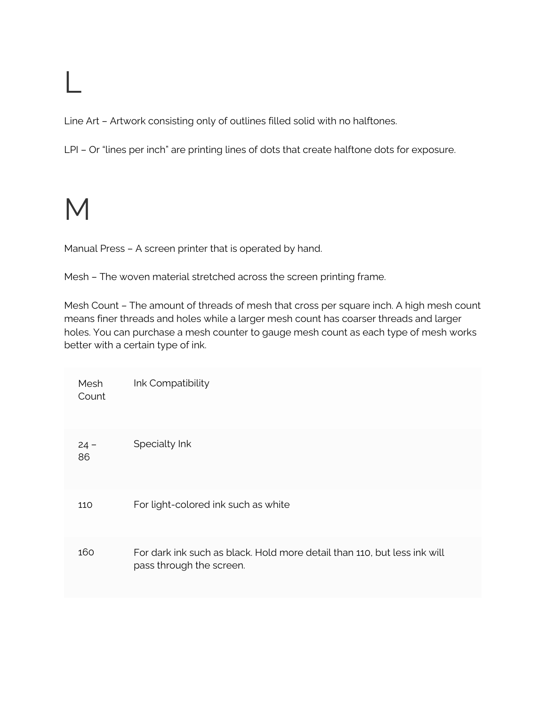## L

Line Art – Artwork consisting only of outlines filled solid with no halftones.

LPI - Or "lines per inch" are printing lines of dots that create halftone dots for exposure.

#### M

Manual Press – A screen printer that is operated by hand.

Mesh – The woven material stretched across the screen printing frame.

Mesh Count – The amount of threads of mesh that cross per square inch. A high mesh count means finer threads and holes while a larger mesh count has coarser threads and larger holes. You can purchase a mesh counter to gauge mesh count as each type of mesh works better with a certain type of ink.

| Mesh<br>Count | Ink Compatibility                                                                                    |
|---------------|------------------------------------------------------------------------------------------------------|
| $24 -$<br>86  | Specialty Ink                                                                                        |
| 110           | For light-colored ink such as white                                                                  |
| 160           | For dark ink such as black. Hold more detail than 110, but less ink will<br>pass through the screen. |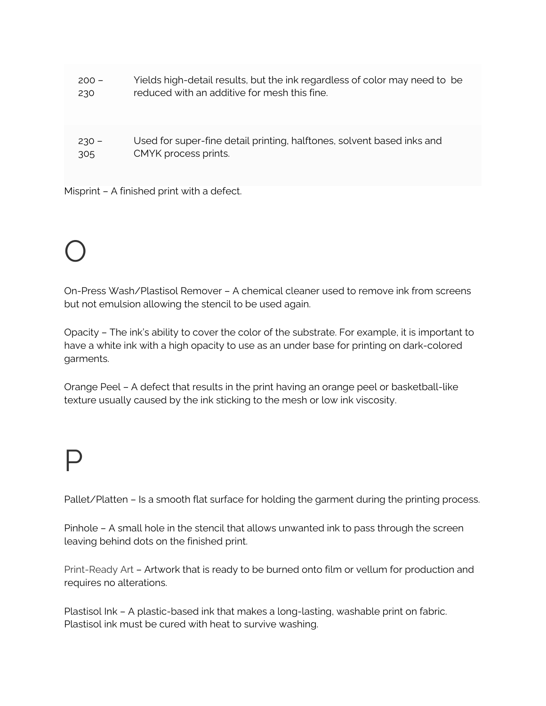| $200 -$ | Yields high-detail results, but the ink regardless of color may need to be |
|---------|----------------------------------------------------------------------------|
| 230     | reduced with an additive for mesh this fine.                               |
| $230 -$ | Used for super-fine detail printing, halftones, solvent based inks and     |
| 305     | CMYK process prints.                                                       |

Misprint – A finished print with a defect.

## O

On-Press Wash/Plastisol Remover – A chemical cleaner used to remove ink from screens but not emulsion allowing the stencil to be used again.

Opacity – The ink's ability to cover the color of the substrate. For example, it is important to have a white ink with a high opacity to use as an under base for printing on dark-colored garments.

Orange Peel – A defect that results in the print having an orange peel or basketball-like texture usually caused by the ink sticking to the mesh or low ink viscosity.

### P

Pallet/Platten – Is a smooth flat surface for holding the garment during the printing process.

Pinhole – A small hole in the stencil that allows unwanted ink to pass through the screen leaving behind dots on the finished print.

Print-Ready Art – Artwork that is ready to be burned onto film or vellum for production and requires no alterations.

Plastisol Ink – A plastic-based ink that makes a long-lasting, washable print on fabric. Plastisol ink must be cured with heat to survive washing.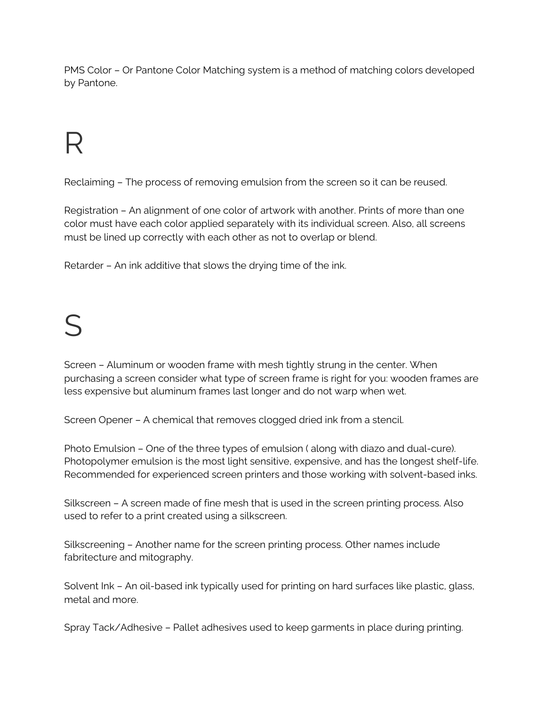PMS Color – Or Pantone Color Matching system is a method of matching colors developed by Pantone.

## R

Reclaiming – The process of removing emulsion from the screen so it can be reused.

Registration – An alignment of one color of artwork with another. Prints of more than one color must have each color applied separately with its individual screen. Also, all screens must be lined up correctly with each other as not to overlap or blend.

Retarder – An ink additive that slows the drying time of the ink.

#### $\boldsymbol{\varsigma}$

Screen – Aluminum or wooden frame with mesh tightly strung in the center. When purchasing a screen consider what type of screen frame is right for you: wooden frames are less expensive but aluminum frames last longer and do not warp when wet.

Screen Opener – A chemical that removes clogged dried ink from a stencil.

Photo Emulsion – One of the three types of emulsion ( along with diazo and dual-cure). Photopolymer emulsion is the most light sensitive, expensive, and has the longest shelf-life. Recommended for experienced screen printers and those working with solvent-based inks.

Silkscreen – A screen made of fine mesh that is used in the screen printing process. Also used to refer to a print created using a silkscreen.

Silkscreening – Another name for the screen printing process. Other names include fabritecture and mitography.

Solvent Ink – An oil-based ink typically used for printing on hard surfaces like plastic, glass, metal and more.

Spray Tack/Adhesive – Pallet adhesives used to keep garments in place during printing.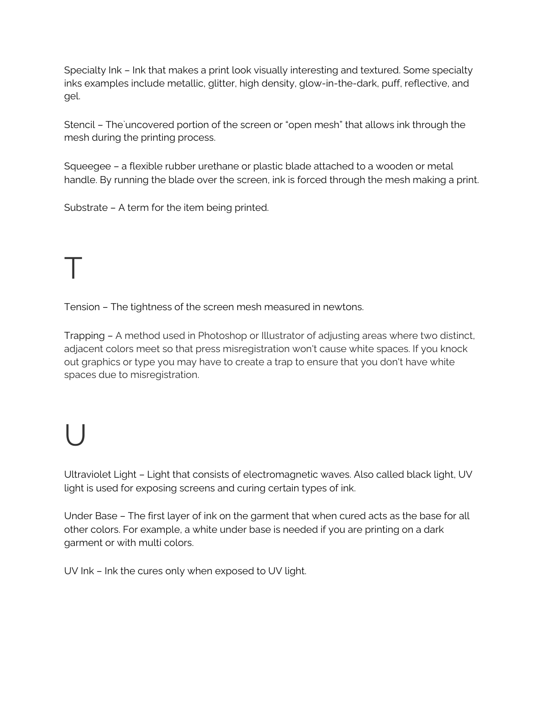Specialty Ink – Ink that makes a print look visually interesting and textured. Some specialty inks examples include metallic, glitter, high density, glow-in-the-dark, puff, reflective, and gel.

Stencil – The`uncovered portion of the screen or "open mesh" that allows ink through the mesh during the printing process.

Squeegee – a flexible rubber urethane or plastic blade attached to a wooden or metal handle. By running the blade over the screen, ink is forced through the mesh making a print.

Substrate – A term for the item being printed.

# T

Tension – The tightness of the screen mesh measured in newtons.

Trapping – A method used in Photoshop or Illustrator of adjusting areas where two distinct, adjacent colors meet so that press misregistration won't cause white spaces. If you knock out graphics or type you may have to create a trap to ensure that you don't have white spaces due to misregistration.

## U

Ultraviolet Light – Light that consists of electromagnetic waves. Also called black light, UV light is used for exposing screens and curing certain types of ink.

Under Base – The first layer of ink on the garment that when cured acts as the base for all other colors. For example, a white under base is needed if you are printing on a dark garment or with multi colors.

UV Ink – Ink the cures only when exposed to UV light.